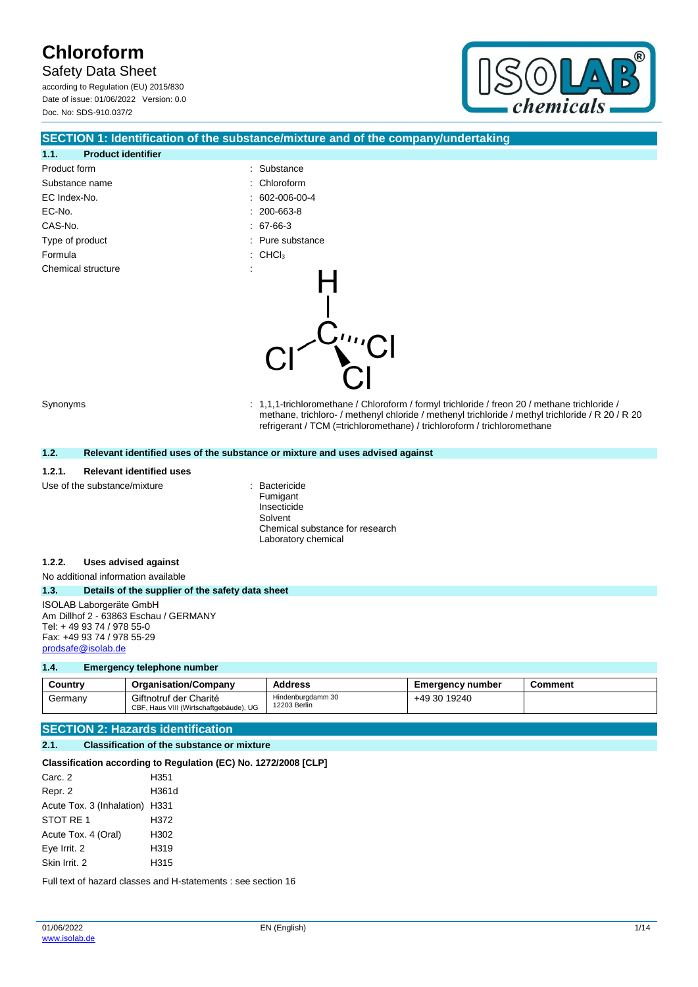Safety Data Sheet

according to Regulation (EU) 2015/830 Date of issue: 01/06/2022 Version: 0.0 Doc. No: SDS-910.037/2



### **SECTION 1: Identification of the substance/mixture and of the company/undertaking**

| 1.1.<br><b>Product identifier</b> |   |                                |
|-----------------------------------|---|--------------------------------|
| Product form                      |   | : Substance                    |
| Substance name                    |   | $:$ Chloroform                 |
| EC Index-No.                      |   | $: 602 - 006 - 00 - 4$         |
| EC-No.                            |   | $: 200 - 663 - 8$              |
| CAS-No.                           |   | $: 67-66-3$                    |
| Type of product                   |   | : Pure substance               |
| Formula                           |   | $\therefore$ CHCl <sub>3</sub> |
| Chemical structure                | ٠ |                                |

Synonyms : 1,1,1-trichloromethane / Chloroform / formyl trichloride / freon 20 / methane trichloride / methane, trichloro- / methenyl chloride / methenyl trichloride / methyl trichloride / R 20 / R 20 refrigerant / TCM (=trichloromethane) / trichloroform / trichloromethane

#### **1.2. Relevant identified uses of the substance or mixture and uses advised against**

#### **1.2.1. Relevant identified uses**

Use of the substance/mixture **interest and the substance/mixture**  $\cdot$  Bactericide

Fumigant Insecticide Solvent Chemical substance for research Laboratory chemical

#### **1.2.2. Uses advised against**

No additional information available

#### **1.3. Details of the supplier of the safety data sheet**

ISOLAB Laborgeräte GmbH Am Dillhof 2 - 63863 Eschau / GERMANY Tel: + 49 93 74 / 978 55-0 Fax: +49 93 74 / 978 55-29 [prodsafe@isolab.de](mailto:prodsafe@isolab.de)

#### **1.4. Emergency telephone number**

| Country | <b>Organisation/Company</b>                                      | <b>Address</b>                    | <b>Emergency number</b> | Comment |
|---------|------------------------------------------------------------------|-----------------------------------|-------------------------|---------|
| Germanv | Giftnotruf der Charité<br>CBF, Haus VIII (Wirtschaftgebäude), UG | Hindenburgdamm 30<br>12203 Berlin | +49 30 19240            |         |

### **SECTION 2: Hazards identification**

#### **2.1. Classification of the substance or mixture**

#### **Classification according to Regulation (EC) No. 1272/2008 [CLP]**

| Carc. 2                        | H351  |
|--------------------------------|-------|
| Repr. 2                        | H361d |
| Acute Tox. 3 (Inhalation) H331 |       |
| STOT RE 1                      | H372  |
| Acute Tox. 4 (Oral)            | H302  |
| Eye Irrit. 2                   | H319  |
| Skin Irrit, 2                  | H315  |

Full text of hazard classes and H-statements : see section 16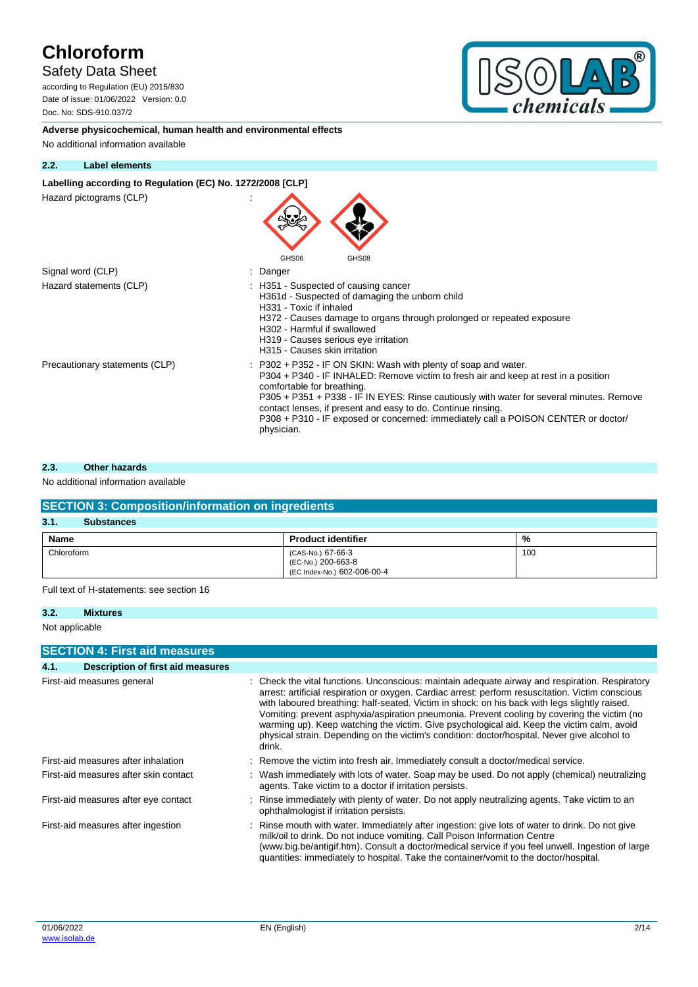## Safety Data Sheet

according to Regulation (EU) 2015/830 Date of issue: 01/06/2022 Version: 0.0 Doc. No: SDS-910.037/2



**Adverse physicochemical, human health and environmental effects** No additional information available

#### **2.2. Label elements**

#### Labelling according to Regulation (EC) No. 1272/2008 [CLP]

Hazard pictograms (CLP) :

| GHS06<br>GHS08                                                                                                                                                                                                                                                                                                                                                                                                                                                  |
|-----------------------------------------------------------------------------------------------------------------------------------------------------------------------------------------------------------------------------------------------------------------------------------------------------------------------------------------------------------------------------------------------------------------------------------------------------------------|
| Danger                                                                                                                                                                                                                                                                                                                                                                                                                                                          |
| : H351 - Suspected of causing cancer<br>H361d - Suspected of damaging the unborn child<br>H331 - Toxic if inhaled<br>H372 - Causes damage to organs through prolonged or repeated exposure<br>H302 - Harmful if swallowed<br>H319 - Causes serious eye irritation<br>H315 - Causes skin irritation                                                                                                                                                              |
| $\therefore$ P302 + P352 - IF ON SKIN: Wash with plenty of soap and water.<br>P304 + P340 - IF INHALED: Remove victim to fresh air and keep at rest in a position<br>comfortable for breathing.<br>P305 + P351 + P338 - IF IN EYES: Rinse cautiously with water for several minutes. Remove<br>contact lenses, if present and easy to do. Continue rinsing.<br>P308 + P310 - IF exposed or concerned: immediately call a POISON CENTER or doctor/<br>physician. |
|                                                                                                                                                                                                                                                                                                                                                                                                                                                                 |

 $\blacktriangle$ 

#### **2.3. Other hazards**

### No additional information available

| <b>SECTION 3: Composition/information on ingredients</b> |                                                                        |     |  |  |
|----------------------------------------------------------|------------------------------------------------------------------------|-----|--|--|
| 3.1.<br><b>Substances</b>                                |                                                                        |     |  |  |
| <b>Name</b>                                              | <b>Product identifier</b>                                              | %   |  |  |
| Chloroform                                               | (CAS-No.) 67-66-3<br>(EC-No.) 200-663-8<br>(EC Index-No.) 602-006-00-4 | 100 |  |  |

Full text of H-statements: see section 16

#### **3.2. Mixtures**

Not applicable

|      | <b>SECTION 4: First aid measures</b>  |                                                                                                                                                                                                                                                                                                                                                                                                                                                                                                                                                                                                              |
|------|---------------------------------------|--------------------------------------------------------------------------------------------------------------------------------------------------------------------------------------------------------------------------------------------------------------------------------------------------------------------------------------------------------------------------------------------------------------------------------------------------------------------------------------------------------------------------------------------------------------------------------------------------------------|
| 4.1. | Description of first aid measures     |                                                                                                                                                                                                                                                                                                                                                                                                                                                                                                                                                                                                              |
|      | First-aid measures general            | : Check the vital functions. Unconscious: maintain adequate airway and respiration. Respiratory<br>arrest: artificial respiration or oxygen. Cardiac arrest: perform resuscitation. Victim conscious<br>with laboured breathing: half-seated. Victim in shock: on his back with legs slightly raised.<br>Vomiting: prevent asphyxia/aspiration pneumonia. Prevent cooling by covering the victim (no<br>warming up). Keep watching the victim. Give psychological aid. Keep the victim calm, avoid<br>physical strain. Depending on the victim's condition: doctor/hospital. Never give alcohol to<br>drink. |
|      | First-aid measures after inhalation   | Remove the victim into fresh air. Immediately consult a doctor/medical service.                                                                                                                                                                                                                                                                                                                                                                                                                                                                                                                              |
|      | First-aid measures after skin contact | : Wash immediately with lots of water. Soap may be used. Do not apply (chemical) neutralizing<br>agents. Take victim to a doctor if irritation persists.                                                                                                                                                                                                                                                                                                                                                                                                                                                     |
|      | First-aid measures after eye contact  | : Rinse immediately with plenty of water. Do not apply neutralizing agents. Take victim to an<br>ophthalmologist if irritation persists.                                                                                                                                                                                                                                                                                                                                                                                                                                                                     |
|      | First-aid measures after ingestion    | Rinse mouth with water. Immediately after ingestion: give lots of water to drink. Do not give<br>milk/oil to drink. Do not induce vomiting. Call Poison Information Centre<br>(www.big.be/antigif.htm). Consult a doctor/medical service if you feel unwell. Ingestion of large<br>quantities: immediately to hospital. Take the container/vomit to the doctor/hospital.                                                                                                                                                                                                                                     |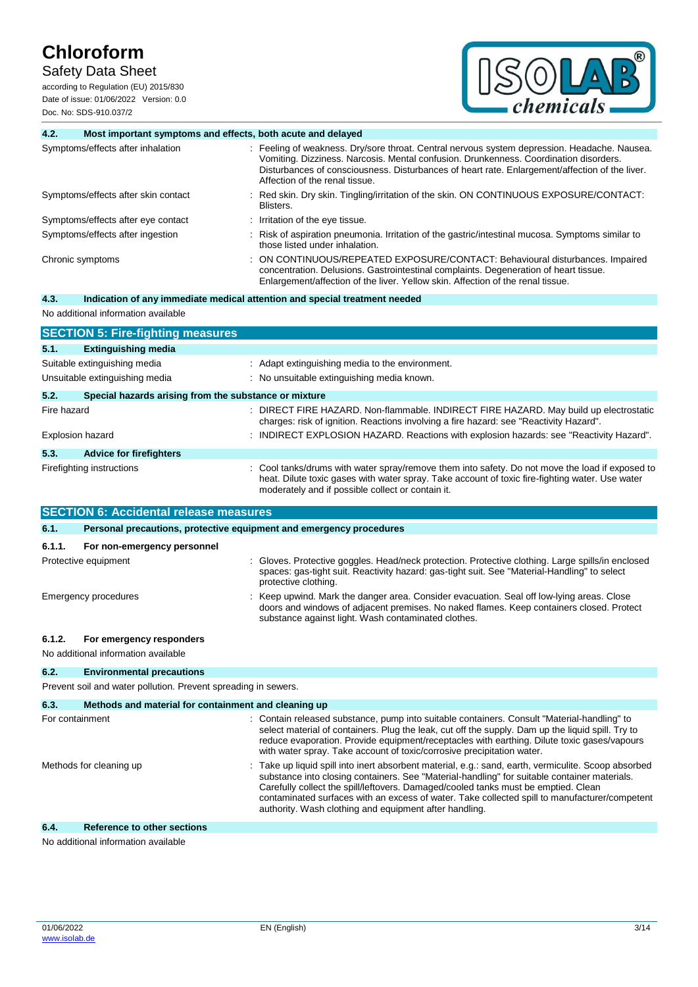Safety Data Sheet

according to Regulation (EU) 2015/830 Date of issue: 01/06/2022 Version: 0.0 Doc. No: SDS-910.037/2



| 4.2.        | Most important symptoms and effects, both acute and delayed |                                                                                                                                                                                                                                                                                                                           |
|-------------|-------------------------------------------------------------|---------------------------------------------------------------------------------------------------------------------------------------------------------------------------------------------------------------------------------------------------------------------------------------------------------------------------|
|             | Symptoms/effects after inhalation                           | : Feeling of weakness. Dry/sore throat. Central nervous system depression. Headache. Nausea.<br>Vomiting. Dizziness. Narcosis. Mental confusion. Drunkenness. Coordination disorders.<br>Disturbances of consciousness. Disturbances of heart rate. Enlargement/affection of the liver.<br>Affection of the renal tissue. |
|             | Symptoms/effects after skin contact                         | Red skin. Dry skin. Tingling/irritation of the skin. ON CONTINUOUS EXPOSURE/CONTACT:<br>Blisters.                                                                                                                                                                                                                         |
|             | Symptoms/effects after eye contact                          | Irritation of the eye tissue.                                                                                                                                                                                                                                                                                             |
|             | Symptoms/effects after ingestion                            | Risk of aspiration pneumonia. Irritation of the gastric/intestinal mucosa. Symptoms similar to<br>those listed under inhalation.                                                                                                                                                                                          |
|             | Chronic symptoms                                            | ON CONTINUOUS/REPEATED EXPOSURE/CONTACT: Behavioural disturbances. Impaired<br>concentration. Delusions. Gastrointestinal complaints. Degeneration of heart tissue.<br>Enlargement/affection of the liver. Yellow skin. Affection of the renal tissue.                                                                    |
| 4.3.        |                                                             | Indication of any immediate medical attention and special treatment needed                                                                                                                                                                                                                                                |
|             | No additional information available                         |                                                                                                                                                                                                                                                                                                                           |
|             | <b>SECTION 5: Fire-fighting measures</b>                    |                                                                                                                                                                                                                                                                                                                           |
| 5.1.        | <b>Extinguishing media</b>                                  |                                                                                                                                                                                                                                                                                                                           |
|             | Suitable extinguishing media                                | : Adapt extinguishing media to the environment.                                                                                                                                                                                                                                                                           |
|             | Unsuitable extinguishing media                              | : No unsuitable extinguishing media known.                                                                                                                                                                                                                                                                                |
| 5.2.        | Special hazards arising from the substance or mixture       |                                                                                                                                                                                                                                                                                                                           |
| Fire hazard |                                                             | DIRECT FIRE HAZARD. Non-flammable. INDIRECT FIRE HAZARD. May build up electrostatic<br>charges: risk of ignition. Reactions involving a fire hazard: see "Reactivity Hazard".                                                                                                                                             |
|             | <b>Explosion hazard</b>                                     | INDIRECT EXPLOSION HAZARD. Reactions with explosion hazards: see "Reactivity Hazard".                                                                                                                                                                                                                                     |
| 5.3.        | <b>Advice for firefighters</b>                              |                                                                                                                                                                                                                                                                                                                           |
|             | Firefighting instructions                                   | Cool tanks/drums with water spray/remove them into safety. Do not move the load if exposed to<br>heat. Dilute toxic gases with water spray. Take account of toxic fire-fighting water. Use water<br>moderately and if possible collect or contain it.                                                                     |
|             | <b>SECTION 6: Accidental release measures</b>               |                                                                                                                                                                                                                                                                                                                           |
| 6.1.        |                                                             | Personal precautions, protective equipment and emergency procedures                                                                                                                                                                                                                                                       |
| 6.1.1.      | For non-emergency personnel                                 |                                                                                                                                                                                                                                                                                                                           |

| <b>0.1.1.</b> FULTION-CHICLOGICY DETSUTTED |                                                                                                                                                                                                                                              |
|--------------------------------------------|----------------------------------------------------------------------------------------------------------------------------------------------------------------------------------------------------------------------------------------------|
| Protective equipment                       | : Gloves. Protective goggles. Head/neck protection. Protective clothing. Large spills/in enclosed<br>spaces: gas-tight suit. Reactivity hazard: gas-tight suit. See "Material-Handling" to select<br>protective clothing.                    |
| Emergency procedures                       | : Keep upwind. Mark the danger area. Consider evacuation. Seal off low-lying areas. Close<br>doors and windows of adjacent premises. No naked flames. Keep containers closed. Protect<br>substance against light. Wash contaminated clothes. |

## **6.1.2. For emergency responders**

No additional information available

## **6.2. Environmental precautions**

Prevent soil and water pollution. Prevent spreading in sewers.

| 6.3.            | Methods and material for containment and cleaning up |                                                                                                                                                                                                                                                                                                                                                                                                                                                       |
|-----------------|------------------------------------------------------|-------------------------------------------------------------------------------------------------------------------------------------------------------------------------------------------------------------------------------------------------------------------------------------------------------------------------------------------------------------------------------------------------------------------------------------------------------|
| For containment |                                                      | : Contain released substance, pump into suitable containers. Consult "Material-handling" to<br>select material of containers. Plug the leak, cut off the supply. Dam up the liquid spill. Try to<br>reduce evaporation. Provide equipment/receptacles with earthing. Dilute toxic gases/vapours<br>with water spray. Take account of toxic/corrosive precipitation water.                                                                             |
|                 | Methods for cleaning up                              | : Take up liquid spill into inert absorbent material, e.g.: sand, earth, vermiculite. Scoop absorbed<br>substance into closing containers. See "Material-handling" for suitable container materials.<br>Carefully collect the spill/leftovers. Damaged/cooled tanks must be emptied. Clean<br>contaminated surfaces with an excess of water. Take collected spill to manufacturer/competent<br>authority. Wash clothing and equipment after handling. |
| 6.4.            | <b>Reference to other sections</b>                   |                                                                                                                                                                                                                                                                                                                                                                                                                                                       |

No additional information available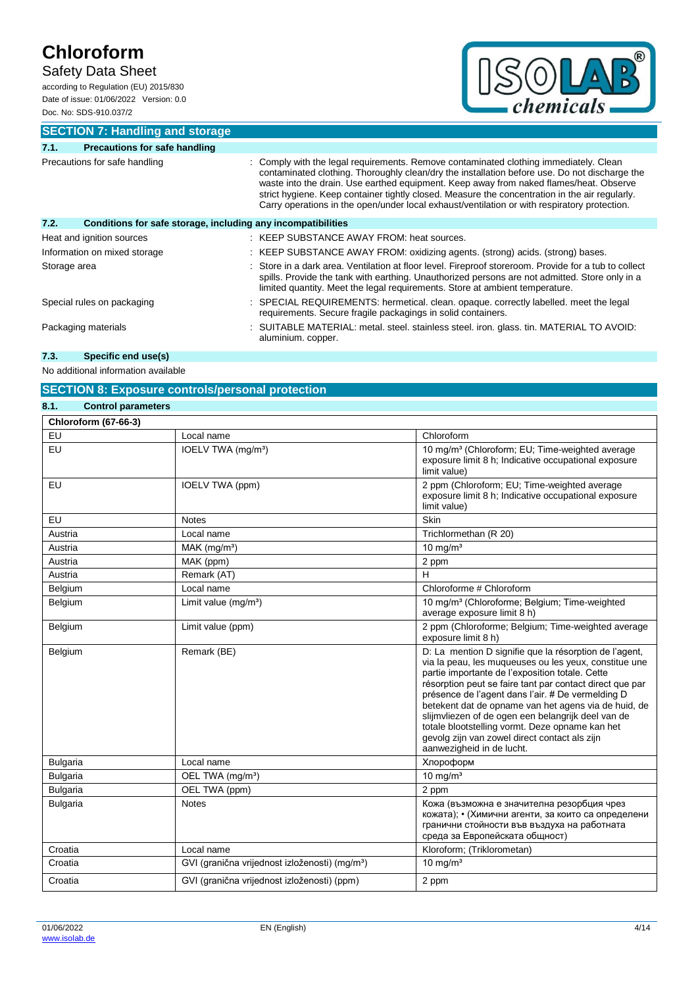## Safety Data Sheet

according to Regulation (EU) 2015/830 Date of issue: 01/06/2022 Version: 0.0 Doc. No: SDS-910.037/2



**SECTION 7: Handling and storage**

| 7.1.                          | <b>Precautions for safe handling</b>                         |                                                                                                                                                                                                                                                                                                                                                                                                                                                                                  |
|-------------------------------|--------------------------------------------------------------|----------------------------------------------------------------------------------------------------------------------------------------------------------------------------------------------------------------------------------------------------------------------------------------------------------------------------------------------------------------------------------------------------------------------------------------------------------------------------------|
| Precautions for safe handling |                                                              | Comply with the legal requirements. Remove contaminated clothing immediately. Clean<br>contaminated clothing. Thoroughly clean/dry the installation before use. Do not discharge the<br>waste into the drain. Use earthed equipment. Keep away from naked flames/heat. Observe<br>strict hygiene. Keep container tightly closed. Measure the concentration in the air regularly.<br>Carry operations in the open/under local exhaust/ventilation or with respiratory protection. |
| 7.2.                          | Conditions for safe storage, including any incompatibilities |                                                                                                                                                                                                                                                                                                                                                                                                                                                                                  |
|                               | Heat and ignition sources                                    | : KEEP SUBSTANCE AWAY FROM: heat sources.                                                                                                                                                                                                                                                                                                                                                                                                                                        |
|                               | Information on mixed storage                                 | : KEEP SUBSTANCE AWAY FROM: oxidizing agents. (strong) acids. (strong) bases.                                                                                                                                                                                                                                                                                                                                                                                                    |
| Storage area                  |                                                              | Store in a dark area. Ventilation at floor level. Fireproof storeroom. Provide for a tub to collect<br>spills. Provide the tank with earthing. Unauthorized persons are not admitted. Store only in a<br>limited quantity. Meet the legal requirements. Store at ambient temperature.                                                                                                                                                                                            |
|                               | Special rules on packaging                                   | : SPECIAL REQUIREMENTS: hermetical. clean. opaque. correctly labelled. meet the legal<br>requirements. Secure fragile packagings in solid containers.                                                                                                                                                                                                                                                                                                                            |
|                               | Packaging materials                                          | : SUITABLE MATERIAL: metal. steel. stainless steel. iron. glass. tin. MATERIAL TO AVOID:<br>aluminium. copper.                                                                                                                                                                                                                                                                                                                                                                   |

## **7.3. Specific end use(s)**

No additional information available

### **SECTION 8: Exposure controls/personal protection**

| 8.1.<br><b>Control parameters</b> |                                                            |                                                                                                                                                                                                                                                                                                                                                                                                                                                                                                                                    |
|-----------------------------------|------------------------------------------------------------|------------------------------------------------------------------------------------------------------------------------------------------------------------------------------------------------------------------------------------------------------------------------------------------------------------------------------------------------------------------------------------------------------------------------------------------------------------------------------------------------------------------------------------|
| <b>Chloroform (67-66-3)</b>       |                                                            |                                                                                                                                                                                                                                                                                                                                                                                                                                                                                                                                    |
| EU                                | Local name                                                 | Chloroform                                                                                                                                                                                                                                                                                                                                                                                                                                                                                                                         |
| EU                                | IOELV TWA (mg/m <sup>3</sup> )                             | 10 mg/m <sup>3</sup> (Chloroform; EU; Time-weighted average<br>exposure limit 8 h; Indicative occupational exposure<br>limit value)                                                                                                                                                                                                                                                                                                                                                                                                |
| <b>EU</b>                         | IOELV TWA (ppm)                                            | 2 ppm (Chloroform; EU; Time-weighted average<br>exposure limit 8 h; Indicative occupational exposure<br>limit value)                                                                                                                                                                                                                                                                                                                                                                                                               |
| EU                                | <b>Notes</b>                                               | Skin                                                                                                                                                                                                                                                                                                                                                                                                                                                                                                                               |
| Austria                           | Local name                                                 | Trichlormethan (R 20)                                                                                                                                                                                                                                                                                                                                                                                                                                                                                                              |
| Austria                           | $MAK$ (mg/m <sup>3</sup> )                                 | $10 \text{ mg/m}^3$                                                                                                                                                                                                                                                                                                                                                                                                                                                                                                                |
| Austria                           | MAK (ppm)                                                  | 2 ppm                                                                                                                                                                                                                                                                                                                                                                                                                                                                                                                              |
| Austria                           | Remark (AT)                                                | Н                                                                                                                                                                                                                                                                                                                                                                                                                                                                                                                                  |
| Belgium                           | Local name                                                 | Chloroforme # Chloroform                                                                                                                                                                                                                                                                                                                                                                                                                                                                                                           |
| Belgium                           | Limit value $(mg/m3)$                                      | 10 mg/m <sup>3</sup> (Chloroforme; Belgium; Time-weighted<br>average exposure limit 8 h)                                                                                                                                                                                                                                                                                                                                                                                                                                           |
| Belgium                           | Limit value (ppm)                                          | 2 ppm (Chloroforme; Belgium; Time-weighted average<br>exposure limit 8 h)                                                                                                                                                                                                                                                                                                                                                                                                                                                          |
| Belgium                           | Remark (BE)                                                | D: La mention D signifie que la résorption de l'agent,<br>via la peau, les muqueuses ou les yeux, constitue une<br>partie importante de l'exposition totale. Cette<br>résorption peut se faire tant par contact direct que par<br>présence de l'agent dans l'air. # De vermelding D<br>betekent dat de opname van het agens via de huid, de<br>slijmvliezen of de ogen een belangrijk deel van de<br>totale blootstelling vormt. Deze opname kan het<br>gevolg zijn van zowel direct contact als zijn<br>aanwezigheid in de lucht. |
| <b>Bulgaria</b>                   | Local name                                                 | Хлороформ                                                                                                                                                                                                                                                                                                                                                                                                                                                                                                                          |
| <b>Bulgaria</b>                   | OEL TWA (mg/m <sup>3</sup> )                               | $10$ mg/m <sup>3</sup>                                                                                                                                                                                                                                                                                                                                                                                                                                                                                                             |
| <b>Bulgaria</b>                   | OEL TWA (ppm)                                              | 2 ppm                                                                                                                                                                                                                                                                                                                                                                                                                                                                                                                              |
| <b>Bulgaria</b>                   | <b>Notes</b>                                               | Кожа (възможна е значителна резорбция чрез<br>кожата); • (Химични агенти, за които са определени<br>гранични стойности във въздуха на работната<br>среда за Европейската общност)                                                                                                                                                                                                                                                                                                                                                  |
| Croatia                           | Local name                                                 | Kloroform; (Triklorometan)                                                                                                                                                                                                                                                                                                                                                                                                                                                                                                         |
| Croatia                           | GVI (granična vrijednost izloženosti) (mg/m <sup>3</sup> ) | 10 mg/ $m3$                                                                                                                                                                                                                                                                                                                                                                                                                                                                                                                        |
| Croatia                           | GVI (granična vrijednost izloženosti) (ppm)                | 2 ppm                                                                                                                                                                                                                                                                                                                                                                                                                                                                                                                              |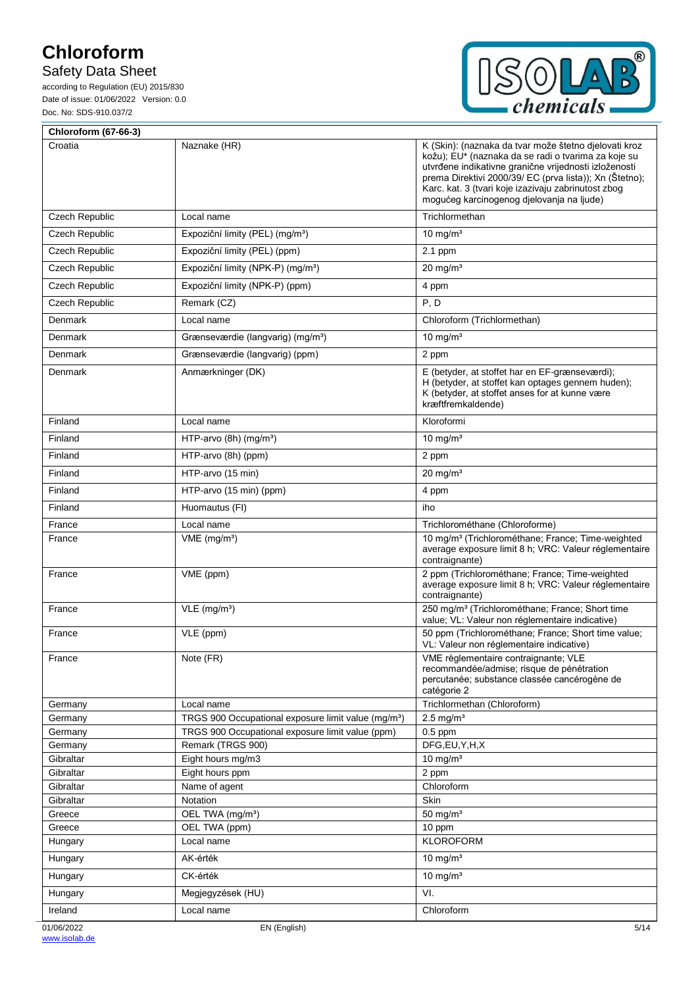## Safety Data Sheet



| <b>Chloroform (67-66-3)</b> |                                                                       |                                                                                                                                                                                                                                                                                                                                      |
|-----------------------------|-----------------------------------------------------------------------|--------------------------------------------------------------------------------------------------------------------------------------------------------------------------------------------------------------------------------------------------------------------------------------------------------------------------------------|
| Croatia                     | Naznake (HR)                                                          | K (Skin): (naznaka da tvar može štetno djelovati kroz<br>kožu); EU* (naznaka da se radi o tvarima za koje su<br>utvrđene indikativne granične vrijednosti izloženosti<br>prema Direktivi 2000/39/ EC (prva lista)); Xn (Štetno);<br>Karc. kat. 3 (tvari koje izazivaju zabrinutost zbog<br>mogućeg karcinogenog djelovanja na ljude) |
| Czech Republic              | Local name                                                            | Trichlormethan                                                                                                                                                                                                                                                                                                                       |
| Czech Republic              | Expoziční limity (PEL) (mg/m <sup>3</sup> )                           | 10 mg/ $m3$                                                                                                                                                                                                                                                                                                                          |
| Czech Republic              | Expoziční limity (PEL) (ppm)                                          | 2.1 ppm                                                                                                                                                                                                                                                                                                                              |
| Czech Republic              | Expoziční limity (NPK-P) (mg/m <sup>3</sup> )                         | $20 \text{ mg/m}^3$                                                                                                                                                                                                                                                                                                                  |
| Czech Republic              | Expoziční limity (NPK-P) (ppm)                                        | 4 ppm                                                                                                                                                                                                                                                                                                                                |
| Czech Republic              | Remark (CZ)                                                           | P, D                                                                                                                                                                                                                                                                                                                                 |
| Denmark                     | Local name                                                            | Chloroform (Trichlormethan)                                                                                                                                                                                                                                                                                                          |
| Denmark                     | Grænseværdie (langvarig) (mg/m <sup>3</sup> )                         | 10 mg/ $m3$                                                                                                                                                                                                                                                                                                                          |
|                             |                                                                       |                                                                                                                                                                                                                                                                                                                                      |
| Denmark                     | Grænseværdie (langvarig) (ppm)                                        | 2 ppm                                                                                                                                                                                                                                                                                                                                |
| Denmark                     | Anmærkninger (DK)                                                     | E (betyder, at stoffet har en EF-grænseværdi);<br>H (betyder, at stoffet kan optages gennem huden);<br>K (betyder, at stoffet anses for at kunne være<br>kræftfremkaldende)                                                                                                                                                          |
| Finland                     | Local name                                                            | Kloroformi                                                                                                                                                                                                                                                                                                                           |
| Finland                     | HTP-arvo $(8h)$ (mg/m <sup>3</sup> )                                  | 10 mg/ $m3$                                                                                                                                                                                                                                                                                                                          |
| Finland                     | HTP-arvo (8h) (ppm)                                                   | 2 ppm                                                                                                                                                                                                                                                                                                                                |
| Finland                     | HTP-arvo (15 min)                                                     | $20 \text{ mg/m}^3$                                                                                                                                                                                                                                                                                                                  |
| Finland                     | HTP-arvo (15 min) (ppm)                                               | 4 ppm                                                                                                                                                                                                                                                                                                                                |
| Finland                     | Huomautus (FI)                                                        | iho                                                                                                                                                                                                                                                                                                                                  |
| France                      | Local name                                                            | Trichlorométhane (Chloroforme)                                                                                                                                                                                                                                                                                                       |
| France                      | $VME$ (mg/m <sup>3</sup> )                                            | 10 mg/m <sup>3</sup> (Trichlorométhane; France; Time-weighted<br>average exposure limit 8 h; VRC: Valeur réglementaire<br>contraignante)                                                                                                                                                                                             |
| France                      | VME (ppm)                                                             | 2 ppm (Trichlorométhane; France; Time-weighted<br>average exposure limit 8 h; VRC: Valeur réglementaire<br>contraignante)                                                                                                                                                                                                            |
| France                      | $VLE$ (mg/m <sup>3</sup> )                                            | 250 mg/m <sup>3</sup> (Trichlorométhane; France; Short time<br>value; VL: Valeur non réglementaire indicative)                                                                                                                                                                                                                       |
| France                      | VLE (ppm)                                                             | 50 ppm (Trichlorométhane; France; Short time value;<br>VL: Valeur non réglementaire indicative)                                                                                                                                                                                                                                      |
| France                      | Note (FR)                                                             | VME règlementaire contraignante; VLE<br>recommandée/admise; risque de pénétration<br>percutanée; substance classée cancérogène de<br>catégorie 2                                                                                                                                                                                     |
| Germany                     | Local name                                                            | Trichlormethan (Chloroform)                                                                                                                                                                                                                                                                                                          |
| Germany                     | TRGS 900 Occupational exposure limit value (mg/m <sup>3</sup> )       | $2.5$ mg/m <sup>3</sup>                                                                                                                                                                                                                                                                                                              |
| Germany<br>Germany          | TRGS 900 Occupational exposure limit value (ppm)<br>Remark (TRGS 900) | $0.5$ ppm<br>DFG,EU,Y,H,X                                                                                                                                                                                                                                                                                                            |
| Gibraltar                   | Eight hours mg/m3                                                     | $10 \text{ mg/m}^3$                                                                                                                                                                                                                                                                                                                  |
| Gibraltar                   | Eight hours ppm                                                       | 2 ppm                                                                                                                                                                                                                                                                                                                                |
| Gibraltar                   | Name of agent                                                         | Chloroform                                                                                                                                                                                                                                                                                                                           |
| Gibraltar                   | Notation                                                              | Skin                                                                                                                                                                                                                                                                                                                                 |
| Greece                      | OEL TWA (mg/m <sup>3</sup> )                                          | 50 mg/ $m3$                                                                                                                                                                                                                                                                                                                          |
| Greece                      | OEL TWA (ppm)<br>Local name                                           | 10 ppm<br><b>KLOROFORM</b>                                                                                                                                                                                                                                                                                                           |
| Hungary                     |                                                                       |                                                                                                                                                                                                                                                                                                                                      |
| Hungary                     | AK-érték                                                              | 10 mg/ $m3$                                                                                                                                                                                                                                                                                                                          |
| Hungary                     | CK-érték                                                              | 10 mg/ $m3$                                                                                                                                                                                                                                                                                                                          |
| Hungary                     | Megjegyzések (HU)                                                     | VI.                                                                                                                                                                                                                                                                                                                                  |
| Ireland                     | Local name                                                            | Chloroform                                                                                                                                                                                                                                                                                                                           |
| 01/06/2022                  | EN (English)                                                          | 5/14                                                                                                                                                                                                                                                                                                                                 |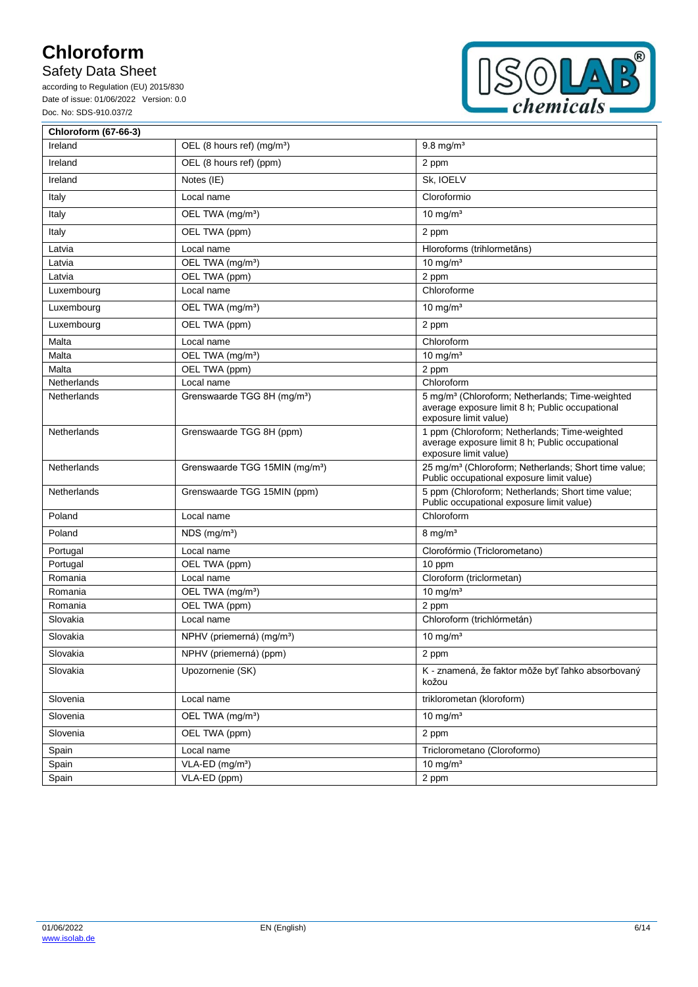## Safety Data Sheet



| <b>Chloroform (67-66-3)</b> |                                            |                                                                                                                                         |
|-----------------------------|--------------------------------------------|-----------------------------------------------------------------------------------------------------------------------------------------|
| Ireland                     | OEL (8 hours ref) (mg/m <sup>3</sup> )     | $9.8$ mg/m <sup>3</sup>                                                                                                                 |
| Ireland                     | OEL (8 hours ref) (ppm)                    | 2 ppm                                                                                                                                   |
| Ireland                     | Notes (IE)                                 | Sk, IOELV                                                                                                                               |
| Italy                       | Local name                                 | Cloroformio                                                                                                                             |
| Italy                       | OEL TWA (mg/m <sup>3</sup> )               | $10$ mg/m <sup>3</sup>                                                                                                                  |
| Italy                       | OEL TWA (ppm)                              | 2 ppm                                                                                                                                   |
| Latvia                      | Local name                                 | Hloroforms (trihlormetāns)                                                                                                              |
| Latvia                      | OEL TWA (mg/m <sup>3</sup> )               | 10 mg/ $m3$                                                                                                                             |
| Latvia                      | OEL TWA (ppm)                              | 2 ppm                                                                                                                                   |
| Luxembourg                  | Local name                                 | Chloroforme                                                                                                                             |
| Luxembourg                  | OEL TWA (mg/m <sup>3</sup> )               | 10 mg/ $m3$                                                                                                                             |
| Luxembourg                  | OEL TWA (ppm)                              | 2 ppm                                                                                                                                   |
| Malta                       | Local name                                 | Chloroform                                                                                                                              |
| Malta                       | OEL TWA (mg/m <sup>3</sup> )               | 10 mg/ $m3$                                                                                                                             |
| Malta                       | OEL TWA (ppm)                              | 2 ppm                                                                                                                                   |
| Netherlands                 | Local name                                 | Chloroform                                                                                                                              |
| Netherlands                 | Grenswaarde TGG 8H (mg/m <sup>3</sup> )    | 5 mg/m <sup>3</sup> (Chloroform; Netherlands; Time-weighted<br>average exposure limit 8 h; Public occupational<br>exposure limit value) |
| Netherlands                 | Grenswaarde TGG 8H (ppm)                   | 1 ppm (Chloroform; Netherlands; Time-weighted<br>average exposure limit 8 h; Public occupational<br>exposure limit value)               |
| Netherlands                 | Grenswaarde TGG 15MIN (mg/m <sup>3</sup> ) | 25 mg/m <sup>3</sup> (Chloroform; Netherlands; Short time value;<br>Public occupational exposure limit value)                           |
| Netherlands                 | Grenswaarde TGG 15MIN (ppm)                | 5 ppm (Chloroform; Netherlands; Short time value;<br>Public occupational exposure limit value)                                          |
| Poland                      | Local name                                 | Chloroform                                                                                                                              |
| Poland                      | $NDS$ (mg/m <sup>3</sup> )                 | $8 \text{ mg/m}^3$                                                                                                                      |
| Portugal                    | Local name                                 | Clorofórmio (Triclorometano)                                                                                                            |
| Portugal                    | OEL TWA (ppm)                              | 10 ppm                                                                                                                                  |
| Romania                     | Local name                                 | Cloroform (triclormetan)                                                                                                                |
| Romania                     | OEL TWA (mg/m <sup>3</sup> )               | 10 mg/ $m3$                                                                                                                             |
| Romania                     | OEL TWA (ppm)                              | 2 ppm                                                                                                                                   |
| Slovakia                    | Local name                                 | Chloroform (trichlórmetán)                                                                                                              |
| Slovakia                    | NPHV (priemerná) (mg/m <sup>3</sup> )      | 10 mg/ $m3$                                                                                                                             |
| Slovakia                    | NPHV (priemerná) (ppm)                     | 2 ppm                                                                                                                                   |
| Slovakia                    | Upozornenie (SK)                           | K - znamená, že faktor môže byť ľahko absorbovaný<br>kožou                                                                              |
| Slovenia                    | Local name                                 | triklorometan (kloroform)                                                                                                               |
| Slovenia                    | OEL TWA (mg/m <sup>3</sup> )               | 10 mg/m $\frac{1}{3}$                                                                                                                   |
| Slovenia                    | OEL TWA (ppm)                              | 2 ppm                                                                                                                                   |
| Spain                       | Local name                                 | Triclorometano (Cloroformo)                                                                                                             |
| Spain                       | VLA-ED (mg/m <sup>3</sup> )                | 10 mg/ $m3$                                                                                                                             |
| Spain                       | VLA-ED (ppm)                               | 2 ppm                                                                                                                                   |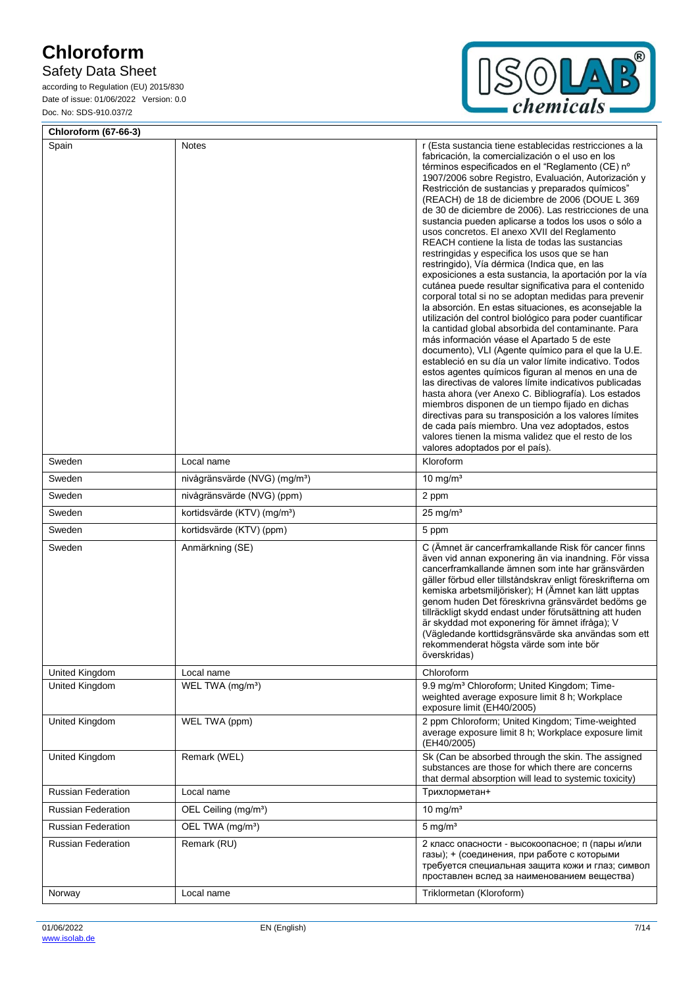## Safety Data Sheet



| <b>Chloroform (67-66-3)</b> |                                           |                                                                                                                                                                                                                                                                                                                                                                                                                                                                                                                                                                                                                                                                                                                                                                                                                                                                                                                                                                                                                                                                                                                                                                                                                                                                                                                                                                                                                                                                                                                                                                                                                |  |
|-----------------------------|-------------------------------------------|----------------------------------------------------------------------------------------------------------------------------------------------------------------------------------------------------------------------------------------------------------------------------------------------------------------------------------------------------------------------------------------------------------------------------------------------------------------------------------------------------------------------------------------------------------------------------------------------------------------------------------------------------------------------------------------------------------------------------------------------------------------------------------------------------------------------------------------------------------------------------------------------------------------------------------------------------------------------------------------------------------------------------------------------------------------------------------------------------------------------------------------------------------------------------------------------------------------------------------------------------------------------------------------------------------------------------------------------------------------------------------------------------------------------------------------------------------------------------------------------------------------------------------------------------------------------------------------------------------------|--|
| Spain                       | Notes                                     | r (Esta sustancia tiene establecidas restricciones a la<br>fabricación, la comercialización o el uso en los<br>términos especificados en el "Reglamento (CE) nº<br>1907/2006 sobre Registro, Evaluación, Autorización y<br>Restricción de sustancias y preparados químicos"<br>(REACH) de 18 de diciembre de 2006 (DOUE L 369<br>de 30 de diciembre de 2006). Las restricciones de una<br>sustancia pueden aplicarse a todos los usos o sólo a<br>usos concretos. El anexo XVII del Reglamento<br>REACH contiene la lista de todas las sustancias<br>restringidas y especifica los usos que se han<br>restringido), Vía dérmica (Indica que, en las<br>exposiciones a esta sustancia, la aportación por la vía<br>cutánea puede resultar significativa para el contenido<br>corporal total si no se adoptan medidas para prevenir<br>la absorción. En estas situaciones, es aconsejable la<br>utilización del control biológico para poder cuantificar<br>la cantidad global absorbida del contaminante. Para<br>más información véase el Apartado 5 de este<br>documento), VLI (Agente químico para el que la U.E.<br>estableció en su día un valor límite indicativo. Todos<br>estos agentes químicos figuran al menos en una de<br>las directivas de valores límite indicativos publicadas<br>hasta ahora (ver Anexo C. Bibliografía). Los estados<br>miembros disponen de un tiempo fijado en dichas<br>directivas para su transposición a los valores límites<br>de cada país miembro. Una vez adoptados, estos<br>valores tienen la misma validez que el resto de los<br>valores adoptados por el país). |  |
| Sweden                      | Local name                                | Kloroform                                                                                                                                                                                                                                                                                                                                                                                                                                                                                                                                                                                                                                                                                                                                                                                                                                                                                                                                                                                                                                                                                                                                                                                                                                                                                                                                                                                                                                                                                                                                                                                                      |  |
| Sweden                      | nivågränsvärde (NVG) (mg/m <sup>3</sup> ) | 10 mg/ $m3$                                                                                                                                                                                                                                                                                                                                                                                                                                                                                                                                                                                                                                                                                                                                                                                                                                                                                                                                                                                                                                                                                                                                                                                                                                                                                                                                                                                                                                                                                                                                                                                                    |  |
| Sweden                      | nivågränsvärde (NVG) (ppm)                | 2 ppm                                                                                                                                                                                                                                                                                                                                                                                                                                                                                                                                                                                                                                                                                                                                                                                                                                                                                                                                                                                                                                                                                                                                                                                                                                                                                                                                                                                                                                                                                                                                                                                                          |  |
| Sweden                      | kortidsvärde (KTV) (mg/m <sup>3</sup> )   | $25 \text{ mg/m}^3$                                                                                                                                                                                                                                                                                                                                                                                                                                                                                                                                                                                                                                                                                                                                                                                                                                                                                                                                                                                                                                                                                                                                                                                                                                                                                                                                                                                                                                                                                                                                                                                            |  |
| Sweden                      | kortidsvärde (KTV) (ppm)                  | 5 ppm                                                                                                                                                                                                                                                                                                                                                                                                                                                                                                                                                                                                                                                                                                                                                                                                                                                                                                                                                                                                                                                                                                                                                                                                                                                                                                                                                                                                                                                                                                                                                                                                          |  |
| Sweden                      | Anmärkning (SE)                           | C (Ämnet är cancerframkallande Risk för cancer finns<br>även vid annan exponering än via inandning. För vissa<br>cancerframkallande ämnen som inte har gränsvärden<br>gäller förbud eller tillståndskrav enligt föreskrifterna om<br>kemiska arbetsmiljörisker); H (Ämnet kan lätt upptas<br>genom huden Det föreskrivna gränsvärdet bedöms ge<br>tillräckligt skydd endast under förutsättning att huden<br>är skyddad mot exponering för ämnet ifråga); V<br>(Vägledande korttidsgränsvärde ska användas som ett<br>rekommenderat högsta värde som inte bör<br>överskridas)                                                                                                                                                                                                                                                                                                                                                                                                                                                                                                                                                                                                                                                                                                                                                                                                                                                                                                                                                                                                                                  |  |
| United Kingdom              | Local name                                | Chloroform                                                                                                                                                                                                                                                                                                                                                                                                                                                                                                                                                                                                                                                                                                                                                                                                                                                                                                                                                                                                                                                                                                                                                                                                                                                                                                                                                                                                                                                                                                                                                                                                     |  |
| United Kingdom              | WEL TWA (mg/m <sup>3</sup> )              | 9.9 mg/m <sup>3</sup> Chloroform; United Kingdom; Time-<br>weighted average exposure limit 8 h; Workplace<br>exposure limit (EH40/2005)                                                                                                                                                                                                                                                                                                                                                                                                                                                                                                                                                                                                                                                                                                                                                                                                                                                                                                                                                                                                                                                                                                                                                                                                                                                                                                                                                                                                                                                                        |  |
| United Kingdom              | WEL TWA (ppm)                             | 2 ppm Chloroform; United Kingdom; Time-weighted<br>average exposure limit 8 h; Workplace exposure limit<br>(EH40/2005)                                                                                                                                                                                                                                                                                                                                                                                                                                                                                                                                                                                                                                                                                                                                                                                                                                                                                                                                                                                                                                                                                                                                                                                                                                                                                                                                                                                                                                                                                         |  |
| United Kingdom              | Remark (WEL)                              | Sk (Can be absorbed through the skin. The assigned<br>substances are those for which there are concerns<br>that dermal absorption will lead to systemic toxicity)                                                                                                                                                                                                                                                                                                                                                                                                                                                                                                                                                                                                                                                                                                                                                                                                                                                                                                                                                                                                                                                                                                                                                                                                                                                                                                                                                                                                                                              |  |
| <b>Russian Federation</b>   | Local name                                | Трихлорметан+                                                                                                                                                                                                                                                                                                                                                                                                                                                                                                                                                                                                                                                                                                                                                                                                                                                                                                                                                                                                                                                                                                                                                                                                                                                                                                                                                                                                                                                                                                                                                                                                  |  |
| <b>Russian Federation</b>   | OEL Ceiling (mg/m <sup>3</sup> )          | 10 mg/ $m3$                                                                                                                                                                                                                                                                                                                                                                                                                                                                                                                                                                                                                                                                                                                                                                                                                                                                                                                                                                                                                                                                                                                                                                                                                                                                                                                                                                                                                                                                                                                                                                                                    |  |
| <b>Russian Federation</b>   | OEL TWA (mg/m <sup>3</sup> )              | $5$ mg/m <sup>3</sup>                                                                                                                                                                                                                                                                                                                                                                                                                                                                                                                                                                                                                                                                                                                                                                                                                                                                                                                                                                                                                                                                                                                                                                                                                                                                                                                                                                                                                                                                                                                                                                                          |  |
| Russian Federation          | Remark (RU)                               | 2 класс опасности - высокоопасное; п (пары и/или<br>газы); + (соединения, при работе с которыми<br>требуется специальная защита кожи и глаз; символ<br>проставлен вслед за наименованием вещества)                                                                                                                                                                                                                                                                                                                                                                                                                                                                                                                                                                                                                                                                                                                                                                                                                                                                                                                                                                                                                                                                                                                                                                                                                                                                                                                                                                                                             |  |
| Norway                      | Local name                                | Triklormetan (Kloroform)                                                                                                                                                                                                                                                                                                                                                                                                                                                                                                                                                                                                                                                                                                                                                                                                                                                                                                                                                                                                                                                                                                                                                                                                                                                                                                                                                                                                                                                                                                                                                                                       |  |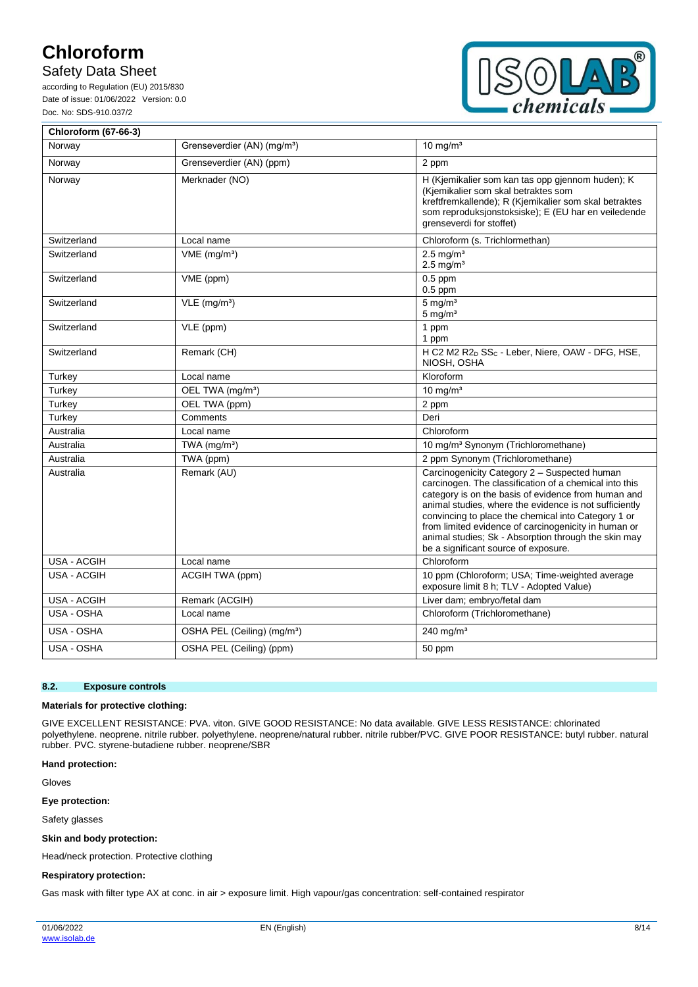## Safety Data Sheet

according to Regulation (EU) 2015/830 Date of issue: 01/06/2022 Version: 0.0 Doc. No: SDS-910.037/2



| <b>Chloroform (67-66-3)</b> |                                         |                                                                                                                                                                                                                                                                                                                                                                                                                                        |
|-----------------------------|-----------------------------------------|----------------------------------------------------------------------------------------------------------------------------------------------------------------------------------------------------------------------------------------------------------------------------------------------------------------------------------------------------------------------------------------------------------------------------------------|
| Norway                      | Grenseverdier (AN) (mg/m <sup>3</sup> ) | $10 \text{ mg/m}^3$                                                                                                                                                                                                                                                                                                                                                                                                                    |
| Norway                      | Grenseverdier (AN) (ppm)                | 2 ppm                                                                                                                                                                                                                                                                                                                                                                                                                                  |
| Norway                      | Merknader (NO)                          | H (Kjemikalier som kan tas opp gjennom huden); K<br>(Kjemikalier som skal betraktes som<br>kreftfremkallende); R (Kjemikalier som skal betraktes<br>som reproduksjonstoksiske); E (EU har en veiledende<br>grenseverdi for stoffet)                                                                                                                                                                                                    |
| Switzerland                 | Local name                              | Chloroform (s. Trichlormethan)                                                                                                                                                                                                                                                                                                                                                                                                         |
| Switzerland                 | $VME$ (mg/m <sup>3</sup> )              | $2.5$ mg/m <sup>3</sup><br>$2.5$ mg/m <sup>3</sup>                                                                                                                                                                                                                                                                                                                                                                                     |
| Switzerland                 | VME (ppm)                               | $0.5$ ppm<br>$0.5$ ppm                                                                                                                                                                                                                                                                                                                                                                                                                 |
| Switzerland                 | $VLE$ (mg/m <sup>3</sup> )              | $5 \text{ mg/m}^3$<br>$5 \text{ mg/m}^3$                                                                                                                                                                                                                                                                                                                                                                                               |
| Switzerland                 | VLE (ppm)                               | 1 ppm<br>1 ppm                                                                                                                                                                                                                                                                                                                                                                                                                         |
| Switzerland                 | Remark (CH)                             | H C2 M2 R2 <sub>D</sub> SS <sub>C</sub> - Leber, Niere, OAW - DFG, HSE,<br>NIOSH, OSHA                                                                                                                                                                                                                                                                                                                                                 |
| Turkey                      | Local name                              | Kloroform                                                                                                                                                                                                                                                                                                                                                                                                                              |
| Turkey                      | OEL TWA (mg/m <sup>3</sup> )            | 10 mg/ $m3$                                                                                                                                                                                                                                                                                                                                                                                                                            |
| Turkey                      | OEL TWA (ppm)                           | 2 ppm                                                                                                                                                                                                                                                                                                                                                                                                                                  |
| Turkey                      | Comments                                | Deri                                                                                                                                                                                                                                                                                                                                                                                                                                   |
| Australia                   | Local name                              | Chloroform                                                                                                                                                                                                                                                                                                                                                                                                                             |
| Australia                   | TWA $(mq/m3)$                           | 10 mg/m <sup>3</sup> Synonym (Trichloromethane)                                                                                                                                                                                                                                                                                                                                                                                        |
| Australia                   | TWA (ppm)                               | 2 ppm Synonym (Trichloromethane)                                                                                                                                                                                                                                                                                                                                                                                                       |
| Australia                   | Remark (AU)                             | Carcinogenicity Category 2 - Suspected human<br>carcinogen. The classification of a chemical into this<br>category is on the basis of evidence from human and<br>animal studies, where the evidence is not sufficiently<br>convincing to place the chemical into Category 1 or<br>from limited evidence of carcinogenicity in human or<br>animal studies; Sk - Absorption through the skin may<br>be a significant source of exposure. |
| USA - ACGIH                 | Local name                              | Chloroform                                                                                                                                                                                                                                                                                                                                                                                                                             |
| USA - ACGIH                 | ACGIH TWA (ppm)                         | 10 ppm (Chloroform; USA; Time-weighted average<br>exposure limit 8 h; TLV - Adopted Value)                                                                                                                                                                                                                                                                                                                                             |
| <b>USA - ACGIH</b>          | Remark (ACGIH)                          | Liver dam; embryo/fetal dam                                                                                                                                                                                                                                                                                                                                                                                                            |
| USA - OSHA                  | Local name                              | Chloroform (Trichloromethane)                                                                                                                                                                                                                                                                                                                                                                                                          |
| USA - OSHA                  | OSHA PEL (Ceiling) (mg/m <sup>3</sup> ) | 240 mg/m $3$                                                                                                                                                                                                                                                                                                                                                                                                                           |
| USA - OSHA                  | OSHA PEL (Ceiling) (ppm)                | 50 ppm                                                                                                                                                                                                                                                                                                                                                                                                                                 |

#### **8.2. Exposure controls**

#### **Materials for protective clothing:**

GIVE EXCELLENT RESISTANCE: PVA. viton. GIVE GOOD RESISTANCE: No data available. GIVE LESS RESISTANCE: chlorinated polyethylene. neoprene. nitrile rubber. polyethylene. neoprene/natural rubber. nitrile rubber/PVC. GIVE POOR RESISTANCE: butyl rubber. natural rubber. PVC. styrene-butadiene rubber. neoprene/SBR

#### **Hand protection:**

Gloves

### **Eye protection:**

Safety glasses

#### **Skin and body protection:**

Head/neck protection. Protective clothing

#### **Respiratory protection:**

Gas mask with filter type AX at conc. in air > exposure limit. High vapour/gas concentration: self-contained respirator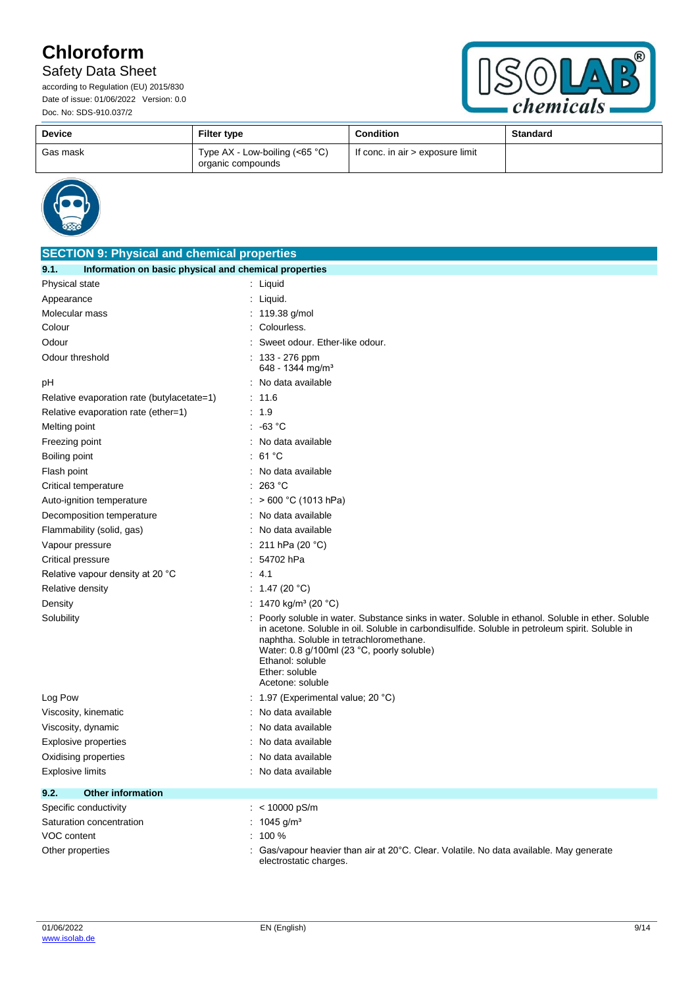## Safety Data Sheet



| <b>Device</b> | <b>Filter type</b>                                   | <b>Condition</b>                 | <b>Standard</b> |
|---------------|------------------------------------------------------|----------------------------------|-----------------|
| Gas mask      | Type AX - Low-boiling $(65 °C)$<br>organic compounds | If conc. in air > exposure limit |                 |



| <b>SECTION 9: Physical and chemical properties</b>            |                                                                                                                                                                                                                                                                                                                                                        |  |
|---------------------------------------------------------------|--------------------------------------------------------------------------------------------------------------------------------------------------------------------------------------------------------------------------------------------------------------------------------------------------------------------------------------------------------|--|
| Information on basic physical and chemical properties<br>9.1. |                                                                                                                                                                                                                                                                                                                                                        |  |
| Physical state                                                | $:$ Liquid                                                                                                                                                                                                                                                                                                                                             |  |
| Appearance                                                    | Liquid.                                                                                                                                                                                                                                                                                                                                                |  |
| Molecular mass                                                | 119.38 g/mol                                                                                                                                                                                                                                                                                                                                           |  |
| Colour                                                        | Colourless.                                                                                                                                                                                                                                                                                                                                            |  |
| Odour                                                         | Sweet odour. Ether-like odour.                                                                                                                                                                                                                                                                                                                         |  |
| Odour threshold                                               | : $133 - 276$ ppm<br>648 - 1344 mg/m <sup>3</sup>                                                                                                                                                                                                                                                                                                      |  |
| рH                                                            | : No data available                                                                                                                                                                                                                                                                                                                                    |  |
| Relative evaporation rate (butylacetate=1)                    | : 11.6                                                                                                                                                                                                                                                                                                                                                 |  |
| Relative evaporation rate (ether=1)                           | : 1.9                                                                                                                                                                                                                                                                                                                                                  |  |
| Melting point                                                 | $: -63 °C$                                                                                                                                                                                                                                                                                                                                             |  |
| Freezing point                                                | : No data available                                                                                                                                                                                                                                                                                                                                    |  |
| Boiling point                                                 | : 61 °C                                                                                                                                                                                                                                                                                                                                                |  |
| Flash point                                                   | No data available                                                                                                                                                                                                                                                                                                                                      |  |
| Critical temperature                                          | 263 °C                                                                                                                                                                                                                                                                                                                                                 |  |
| Auto-ignition temperature                                     | > 600 °C (1013 hPa)                                                                                                                                                                                                                                                                                                                                    |  |
| Decomposition temperature                                     | No data available                                                                                                                                                                                                                                                                                                                                      |  |
| Flammability (solid, gas)                                     | : No data available                                                                                                                                                                                                                                                                                                                                    |  |
| Vapour pressure                                               | 211 hPa (20 °C)                                                                                                                                                                                                                                                                                                                                        |  |
| Critical pressure                                             | 54702 hPa                                                                                                                                                                                                                                                                                                                                              |  |
| Relative vapour density at 20 °C                              | 4.1                                                                                                                                                                                                                                                                                                                                                    |  |
| Relative density                                              | : 1.47 (20 °C)                                                                                                                                                                                                                                                                                                                                         |  |
| Density                                                       | : 1470 kg/m <sup>3</sup> (20 °C)                                                                                                                                                                                                                                                                                                                       |  |
| Solubility                                                    | Poorly soluble in water. Substance sinks in water. Soluble in ethanol. Soluble in ether. Soluble<br>in acetone. Soluble in oil. Soluble in carbondisulfide. Soluble in petroleum spirit. Soluble in<br>naphtha. Soluble in tetrachloromethane.<br>Water: 0.8 g/100ml (23 °C, poorly soluble)<br>Ethanol: soluble<br>Ether: soluble<br>Acetone: soluble |  |
| Log Pow                                                       | 1.97 (Experimental value; 20 °C)                                                                                                                                                                                                                                                                                                                       |  |
| Viscosity, kinematic                                          | No data available                                                                                                                                                                                                                                                                                                                                      |  |
| Viscosity, dynamic                                            | No data available                                                                                                                                                                                                                                                                                                                                      |  |
| Explosive properties                                          | No data available                                                                                                                                                                                                                                                                                                                                      |  |
| Oxidising properties                                          | No data available                                                                                                                                                                                                                                                                                                                                      |  |
| Explosive limits                                              | No data available                                                                                                                                                                                                                                                                                                                                      |  |
| 9.2.<br><b>Other information</b>                              |                                                                                                                                                                                                                                                                                                                                                        |  |
| Specific conductivity                                         | : $< 10000$ pS/m                                                                                                                                                                                                                                                                                                                                       |  |
| Saturation concentration                                      | : $1045$ g/m <sup>3</sup>                                                                                                                                                                                                                                                                                                                              |  |
| VOC content                                                   | $: 100 \%$                                                                                                                                                                                                                                                                                                                                             |  |
| Other properties                                              | Gas/vapour heavier than air at 20°C. Clear. Volatile. No data available. May generate<br>electrostatic charges.                                                                                                                                                                                                                                        |  |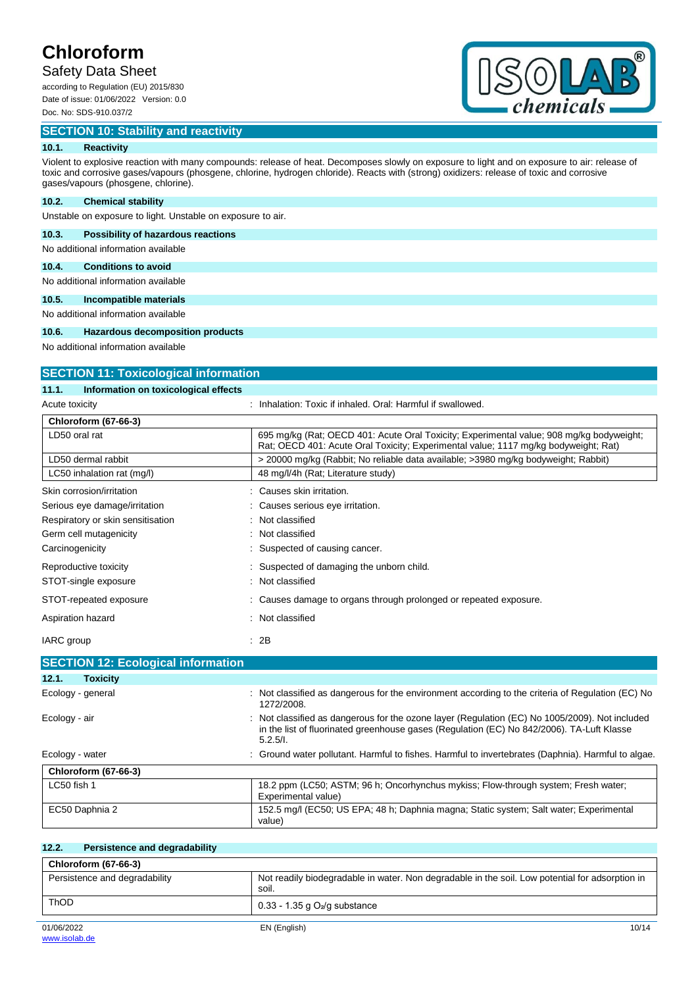## Safety Data Sheet

according to Regulation (EU) 2015/830 Date of issue: 01/06/2022 Version: 0.0 Doc. No: SDS-910.037/2

## **SECTION 10: Stability and reactivity**



## **10.1. Reactivity**

Violent to explosive reaction with many compounds: release of heat. Decomposes slowly on exposure to light and on exposure to air: release of toxic and corrosive gases/vapours (phosgene, chlorine, hydrogen chloride). Reacts with (strong) oxidizers: release of toxic and corrosive gases/vapours (phosgene, chlorine).

### **10.2. Chemical stability**

Unstable on exposure to light. Unstable on exposure to air.

### **10.3. Possibility of hazardous reactions**

No additional information available

## **10.4. Conditions to avoid**

No additional information available

#### **10.5. Incompatible materials**

No additional information available

### **10.6. Hazardous decomposition products**

No additional information available

| <b>SECTION 11: Toxicological information</b>  |                                                                                                                                                                                                       |  |
|-----------------------------------------------|-------------------------------------------------------------------------------------------------------------------------------------------------------------------------------------------------------|--|
| 11.1.<br>Information on toxicological effects |                                                                                                                                                                                                       |  |
| Acute toxicity                                | : Inhalation: Toxic if inhaled. Oral: Harmful if swallowed.                                                                                                                                           |  |
| <b>Chloroform (67-66-3)</b>                   |                                                                                                                                                                                                       |  |
| LD50 oral rat                                 | 695 mg/kg (Rat: OECD 401: Acute Oral Toxicity: Experimental value: 908 mg/kg bodyweight:<br>Rat: OECD 401: Acute Oral Toxicity: Experimental value: 1117 mg/kg bodyweight: Rat)                       |  |
| LD50 dermal rabbit                            | > 20000 mg/kg (Rabbit; No reliable data available; >3980 mg/kg bodyweight; Rabbit)                                                                                                                    |  |
| LC50 inhalation rat (mg/l)                    | 48 mg/l/4h (Rat; Literature study)                                                                                                                                                                    |  |
| Skin corrosion/irritation                     | : Causes skin irritation.                                                                                                                                                                             |  |
| Serious eye damage/irritation                 | Causes serious eye irritation.                                                                                                                                                                        |  |
| Respiratory or skin sensitisation             | Not classified                                                                                                                                                                                        |  |
| Germ cell mutagenicity                        | Not classified                                                                                                                                                                                        |  |
| Carcinogenicity                               | Suspected of causing cancer.                                                                                                                                                                          |  |
| Reproductive toxicity                         | Suspected of damaging the unborn child.                                                                                                                                                               |  |
| STOT-single exposure                          | Not classified                                                                                                                                                                                        |  |
| STOT-repeated exposure                        | Causes damage to organs through prolonged or repeated exposure.                                                                                                                                       |  |
| Aspiration hazard                             | Not classified                                                                                                                                                                                        |  |
| IARC group                                    | : 2B                                                                                                                                                                                                  |  |
| <b>SECTION 12: Ecological information</b>     |                                                                                                                                                                                                       |  |
| 12.1.<br><b>Toxicity</b>                      |                                                                                                                                                                                                       |  |
| Ecology - general                             | Not classified as dangerous for the environment according to the criteria of Regulation (EC) No<br>1272/2008.                                                                                         |  |
| Ecology - air                                 | Not classified as dangerous for the ozone layer (Regulation (EC) No 1005/2009). Not included<br>in the list of fluorinated greenhouse gases (Regulation (EC) No 842/2006). TA-Luft Klasse<br>5.2.5/l. |  |

| Ecology - water             | : Ground water pollutant. Harmful to fishes. Harmful to invertebrates (Daphnia). Harmful to algae.        |
|-----------------------------|-----------------------------------------------------------------------------------------------------------|
| <b>Chloroform (67-66-3)</b> |                                                                                                           |
| LC50 fish 1                 | 18.2 ppm (LC50; ASTM; 96 h; Oncorhynchus mykiss; Flow-through system; Fresh water;<br>Experimental value) |
| EC50 Daphnia 2              | 152.5 mg/l (EC50; US EPA; 48 h; Daphnia magna; Static system; Salt water; Experimental<br>value)          |

| 12.2.<br>Persistence and degradability |                                                                                                          |
|----------------------------------------|----------------------------------------------------------------------------------------------------------|
| <b>Chloroform (67-66-3)</b>            |                                                                                                          |
| Persistence and degradability          | Not readily biodegradable in water. Non degradable in the soil. Low potential for adsorption in<br>soil. |
| <b>ThOD</b>                            | $0.33 - 1.35$ g $O2/g$ substance                                                                         |
| 01/06/2022                             | EN (English)<br>10/14                                                                                    |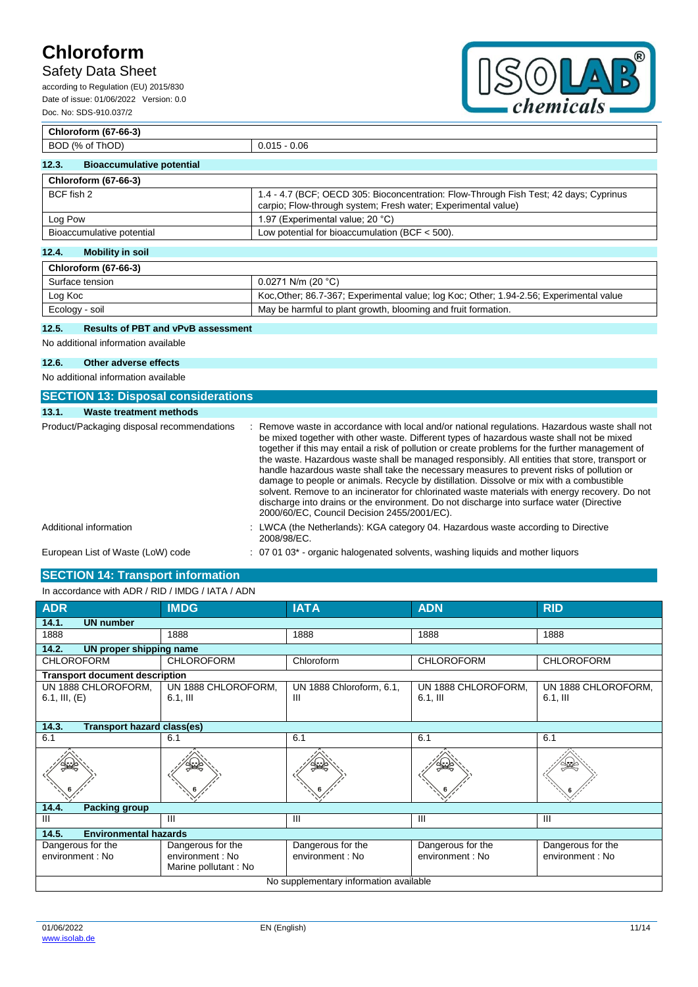## Safety Data Sheet

according to Regulation (EU) 2015/830 Date of issue: 01/06/2022 Version: 0.0 Doc. No: SDS-910.037/2



## **Chloroform (67-66-3)** BOD (% of ThOD) 0.015 - 0.06 **12.3. Bioaccumulative potential Chloroform (67-66-3)** BCF fish 2 1.4 - 4.7 (BCF; OECD 305: Bioconcentration: Flow-Through Fish Test; 42 days; Cyprinus carpio; Flow-through system; Fresh water; Experimental value) Log Pow  $\vert$  1.97 (Experimental value; 20 °C) Bioaccumulative potential Low potential for bioaccumulation (BCF < 500).

## **12.4. Mobility in soil**

| <b>Chloroform (67-66-3)</b> |                                                                                        |
|-----------------------------|----------------------------------------------------------------------------------------|
| Surface tension             | $0.0271$ N/m (20 °C)                                                                   |
| Log Koc                     | Koc Other, 86.7-367; Experimental value; log Koc; Other; 1.94-2.56; Experimental value |
| Ecology - soil              | May be harmful to plant growth, blooming and fruit formation.                          |

### **12.5. Results of PBT and vPvB assessment**

No additional information available

#### **12.6. Other adverse effects**

No additional information available

| <b>SECTION 13: Disposal considerations</b> |                                                                                                                                                                                                                                                                                                                                                                                                                                                                                                                                                                                                                                                                                                                                                                                                                                         |
|--------------------------------------------|-----------------------------------------------------------------------------------------------------------------------------------------------------------------------------------------------------------------------------------------------------------------------------------------------------------------------------------------------------------------------------------------------------------------------------------------------------------------------------------------------------------------------------------------------------------------------------------------------------------------------------------------------------------------------------------------------------------------------------------------------------------------------------------------------------------------------------------------|
| <b>Waste treatment methods</b><br>13.1.    |                                                                                                                                                                                                                                                                                                                                                                                                                                                                                                                                                                                                                                                                                                                                                                                                                                         |
| Product/Packaging disposal recommendations | : Remove waste in accordance with local and/or national regulations. Hazardous waste shall not<br>be mixed together with other waste. Different types of hazardous waste shall not be mixed<br>together if this may entail a risk of pollution or create problems for the further management of<br>the waste. Hazardous waste shall be managed responsibly. All entities that store, transport or<br>handle hazardous waste shall take the necessary measures to prevent risks of pollution or<br>damage to people or animals. Recycle by distillation. Dissolve or mix with a combustible<br>solvent. Remove to an incinerator for chlorinated waste materials with energy recovery. Do not<br>discharge into drains or the environment. Do not discharge into surface water (Directive<br>2000/60/EC, Council Decision 2455/2001/EC). |
| Additional information                     | : LWCA (the Netherlands): KGA category 04. Hazardous waste according to Directive<br>2008/98/EC.                                                                                                                                                                                                                                                                                                                                                                                                                                                                                                                                                                                                                                                                                                                                        |
| European List of Waste (LoW) code          | $\therefore$ 07 01 03 <sup>*</sup> - organic halogenated solvents, washing liguids and mother liguors                                                                                                                                                                                                                                                                                                                                                                                                                                                                                                                                                                                                                                                                                                                                   |

## **SECTION 14: Transport information**

| In accordance with ADR / RID / IMDG / IATA / ADN |                                                               |                                       |                                       |                                       |
|--------------------------------------------------|---------------------------------------------------------------|---------------------------------------|---------------------------------------|---------------------------------------|
| <b>ADR</b>                                       | <b>IMDG</b>                                                   | <b>IATA</b>                           | <b>ADN</b>                            | <b>RID</b>                            |
| 14.1.<br><b>UN number</b>                        |                                                               |                                       |                                       |                                       |
| 1888                                             | 1888                                                          | 1888                                  | 1888                                  | 1888                                  |
| 14.2.<br>UN proper shipping name                 |                                                               |                                       |                                       |                                       |
| <b>CHLOROFORM</b>                                | <b>CHLOROFORM</b>                                             | Chloroform                            | <b>CHLOROFORM</b>                     | <b>CHLOROFORM</b>                     |
| <b>Transport document description</b>            |                                                               |                                       |                                       |                                       |
| UN 1888 CHLOROFORM,<br>6.1, III, $(E)$           | UN 1888 CHLOROFORM,<br>$6.1$ , III                            | UN 1888 Chloroform, 6.1,<br>Ш         | UN 1888 CHLOROFORM,<br>$6.1$ , III    | UN 1888 CHLOROFORM,<br>$6.1,$ III     |
| 14.3.<br><b>Transport hazard class(es)</b>       |                                                               |                                       |                                       |                                       |
| 6.1                                              | 6.1                                                           | 6.1                                   | 6.1                                   | 6.1                                   |
|                                                  |                                                               |                                       |                                       |                                       |
| 14.4.<br><b>Packing group</b>                    |                                                               |                                       |                                       |                                       |
| III                                              | Ш                                                             | $\mathbf{III}$                        | III                                   | Ш                                     |
| 14.5.<br><b>Environmental hazards</b>            |                                                               |                                       |                                       |                                       |
| Dangerous for the<br>environment : No            | Dangerous for the<br>environment : No<br>Marine pollutant: No | Dangerous for the<br>environment : No | Dangerous for the<br>environment : No | Dangerous for the<br>environment : No |
| No supplementary information available           |                                                               |                                       |                                       |                                       |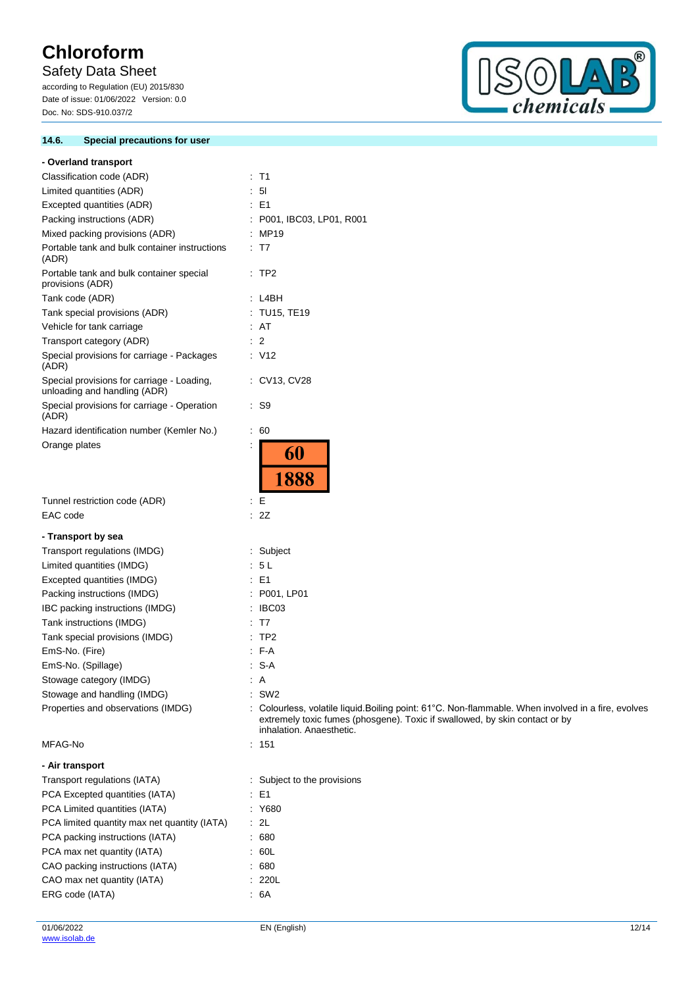## Safety Data Sheet

according to Regulation (EU) 2015/830 Date of issue: 01/06/2022 Version: 0.0 Doc. No: SDS-910.037/2

### **14.6. Special precautions for user**



| - Overland transport                                                       |                                                                                                                                                                                                                |
|----------------------------------------------------------------------------|----------------------------------------------------------------------------------------------------------------------------------------------------------------------------------------------------------------|
| Classification code (ADR)                                                  | : T1                                                                                                                                                                                                           |
| Limited quantities (ADR)                                                   | 5 <sub>l</sub>                                                                                                                                                                                                 |
| Excepted quantities (ADR)                                                  | $\therefore$ E1                                                                                                                                                                                                |
| Packing instructions (ADR)                                                 | : P001, IBC03, LP01, R001                                                                                                                                                                                      |
| Mixed packing provisions (ADR)                                             | : MP19                                                                                                                                                                                                         |
| Portable tank and bulk container instructions<br>(ADR)                     | $\therefore$ T7                                                                                                                                                                                                |
| Portable tank and bulk container special<br>provisions (ADR)               | $\therefore$ TP2                                                                                                                                                                                               |
| Tank code (ADR)                                                            | : L4BH                                                                                                                                                                                                         |
| Tank special provisions (ADR)                                              | : TU15, TE19                                                                                                                                                                                                   |
| Vehicle for tank carriage                                                  | : AT                                                                                                                                                                                                           |
| Transport category (ADR)                                                   | $\therefore$ 2                                                                                                                                                                                                 |
| Special provisions for carriage - Packages<br>(ADR)                        | $\therefore$ V12                                                                                                                                                                                               |
| Special provisions for carriage - Loading,<br>unloading and handling (ADR) | : CV13, CV28                                                                                                                                                                                                   |
| Special provisions for carriage - Operation<br>(ADR)                       | : S9                                                                                                                                                                                                           |
| Hazard identification number (Kemler No.)                                  | $\therefore 60$                                                                                                                                                                                                |
| Orange plates                                                              | ÷<br>60<br>1888                                                                                                                                                                                                |
| Tunnel restriction code (ADR)                                              | ÷Е                                                                                                                                                                                                             |
| EAC code                                                                   | : 2Z                                                                                                                                                                                                           |
|                                                                            |                                                                                                                                                                                                                |
| - Transport by sea                                                         |                                                                                                                                                                                                                |
| Transport regulations (IMDG)                                               | Subject<br>: 5L                                                                                                                                                                                                |
| Limited quantities (IMDG)<br>Excepted quantities (IMDG)                    | $\therefore$ E1                                                                                                                                                                                                |
| Packing instructions (IMDG)                                                | : P001, LP01                                                                                                                                                                                                   |
| IBC packing instructions (IMDG)                                            | IBC03                                                                                                                                                                                                          |
| Tank instructions (IMDG)                                                   | T7                                                                                                                                                                                                             |
| Tank special provisions (IMDG)                                             | TP <sub>2</sub>                                                                                                                                                                                                |
| EmS-No. (Fire)                                                             | $-F-A$                                                                                                                                                                                                         |
| EmS-No. (Spillage)                                                         | S-A                                                                                                                                                                                                            |
| Stowage category (IMDG)                                                    | $\therefore$ A                                                                                                                                                                                                 |
| Stowage and handling (IMDG)                                                | $:$ SW2                                                                                                                                                                                                        |
| Properties and observations (IMDG)                                         | : Colourless, volatile liquid. Boiling point: 61°C. Non-flammable. When involved in a fire, evolves<br>extremely toxic fumes (phosgene). Toxic if swallowed, by skin contact or by<br>inhalation. Anaesthetic. |
| MFAG-No                                                                    | : 151                                                                                                                                                                                                          |
| - Air transport                                                            |                                                                                                                                                                                                                |
| Transport regulations (IATA)                                               | : Subject to the provisions                                                                                                                                                                                    |
| PCA Excepted quantities (IATA)                                             | $\therefore$ E1                                                                                                                                                                                                |
| PCA Limited quantities (IATA)                                              | : Y680                                                                                                                                                                                                         |
| PCA limited quantity max net quantity (IATA)                               | $\cdot$ 2L                                                                                                                                                                                                     |
| PCA packing instructions (IATA)                                            | .680                                                                                                                                                                                                           |
| PCA max net quantity (IATA)                                                | .60L                                                                                                                                                                                                           |
| CAO packing instructions (IATA)                                            | .680                                                                                                                                                                                                           |
| CAO max net quantity (IATA)                                                | : 220L                                                                                                                                                                                                         |
| ERG code (IATA)                                                            | .6A                                                                                                                                                                                                            |
|                                                                            |                                                                                                                                                                                                                |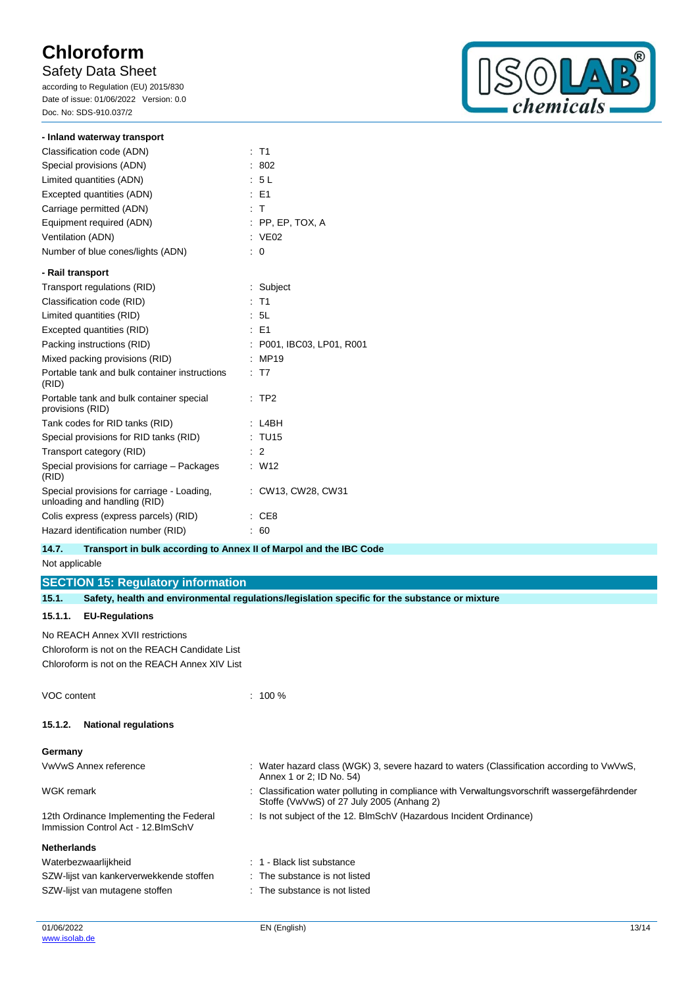## Safety Data Sheet

according to Regulation (EU) 2015/830 Date of issue: 01/06/2022 Version: 0.0 Doc. No: SDS-910.037/2



| - Inland waterway transport                                                |                         |
|----------------------------------------------------------------------------|-------------------------|
| Classification code (ADN)                                                  | $:$ T1                  |
| Special provisions (ADN)                                                   | 802                     |
| Limited quantities (ADN)                                                   | : 5L                    |
| Excepted quantities (ADN)                                                  | $E = F1$                |
| Carriage permitted (ADN)                                                   | $\pm$ T                 |
| Equipment required (ADN)                                                   | $:$ PP, EP, TOX, A      |
| Ventilation (ADN)                                                          | : VE02                  |
| Number of blue cones/lights (ADN)                                          | 0                       |
| - Rail transport                                                           |                         |
| Transport regulations (RID)                                                | : Subject               |
| Classification code (RID)                                                  | $:$ T1                  |
| Limited quantities (RID)                                                   | : 5L                    |
| Excepted quantities (RID)                                                  | $E = 51$                |
| Packing instructions (RID)                                                 | P001, IBC03, LP01, R001 |
| Mixed packing provisions (RID)                                             | MP19                    |
| Portable tank and bulk container instructions<br>(RID)                     | T <sub>7</sub>          |
| Portable tank and bulk container special<br>provisions (RID)               | TP <sub>2</sub>         |
| Tank codes for RID tanks (RID)                                             | L4BH                    |
| Special provisions for RID tanks (RID)                                     | : TU15                  |
| Transport category (RID)                                                   | $\therefore$ 2          |
| Special provisions for carriage - Packages<br>(RID)                        | : W12                   |
| Special provisions for carriage - Loading,<br>unloading and handling (RID) | : CW13, CW28, CW31      |
| Colis express (express parcels) (RID)                                      | CE <sub>8</sub>         |
| Hazard identification number (RID)                                         | 60                      |

### **14.7. Transport in bulk according to Annex II of Marpol and the IBC Code**

Not applicable

**SECTION 15: Regulatory information**

| 15.1.              | Safety, health and environmental regulations/legislation specific for the substance or mixture |                                                                                                                                           |  |
|--------------------|------------------------------------------------------------------------------------------------|-------------------------------------------------------------------------------------------------------------------------------------------|--|
| 15.1.1.            | <b>EU-Regulations</b>                                                                          |                                                                                                                                           |  |
|                    | No REACH Annex XVII restrictions                                                               |                                                                                                                                           |  |
|                    | Chloroform is not on the REACH Candidate List                                                  |                                                                                                                                           |  |
|                    | Chloroform is not on the REACH Annex XIV List                                                  |                                                                                                                                           |  |
| VOC content        |                                                                                                | $: 100 \%$                                                                                                                                |  |
| 15.1.2.            | <b>National regulations</b>                                                                    |                                                                                                                                           |  |
| Germany            |                                                                                                |                                                                                                                                           |  |
|                    | VwVwS Annex reference                                                                          | : Water hazard class (WGK) 3, severe hazard to waters (Classification according to VwVwS,<br>Annex 1 or 2; ID No. 54)                     |  |
| <b>WGK</b> remark  |                                                                                                | : Classification water polluting in compliance with Verwaltungsvorschrift wassergefährdender<br>Stoffe (VwVwS) of 27 July 2005 (Anhang 2) |  |
|                    | 12th Ordinance Implementing the Federal<br>Immission Control Act - 12. BlmSchV                 | : Is not subject of the 12. BlmSchV (Hazardous Incident Ordinance)                                                                        |  |
| <b>Netherlands</b> |                                                                                                |                                                                                                                                           |  |
|                    | Waterbezwaarlijkheid                                                                           | : 1 - Black list substance                                                                                                                |  |
|                    | SZW-lijst van kankerverwekkende stoffen                                                        | : The substance is not listed                                                                                                             |  |
|                    | SZW-lijst van mutagene stoffen                                                                 | : The substance is not listed                                                                                                             |  |